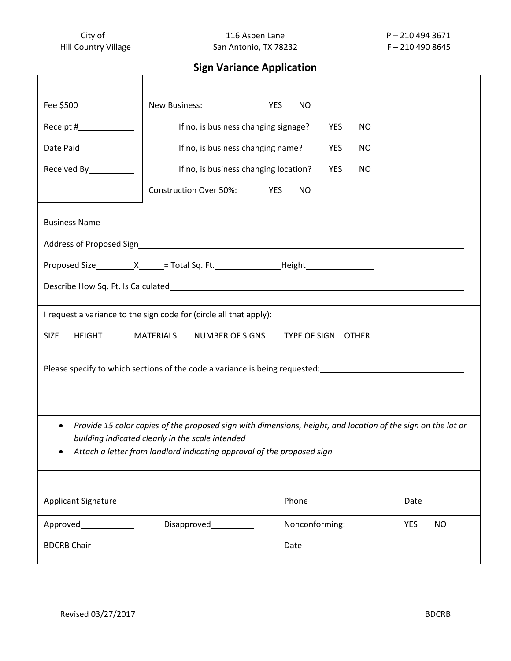City of City of 116 Aspen Lane P – 210 494 3671<br>
Hill Country Village San Antonio, TX 78232 F – 210 490 8645 San Antonio, TX 78232 F – 210 490 8645

# **Sign Variance Application**

| Fee \$500                                                                                                                                                                                                                                               | New Business:                         | <b>YES</b><br><b>NO</b> |     |                  |  |  |
|---------------------------------------------------------------------------------------------------------------------------------------------------------------------------------------------------------------------------------------------------------|---------------------------------------|-------------------------|-----|------------------|--|--|
| Receipt #______________                                                                                                                                                                                                                                 | If no, is business changing signage?  |                         | YES | NO               |  |  |
| Date Paid______________                                                                                                                                                                                                                                 | If no, is business changing name?     |                         | YES | NO               |  |  |
| Received By___________                                                                                                                                                                                                                                  | If no, is business changing location? |                         | YES | <b>NO</b>        |  |  |
|                                                                                                                                                                                                                                                         | <b>Construction Over 50%:</b>         | YES<br>NO.              |     |                  |  |  |
|                                                                                                                                                                                                                                                         |                                       |                         |     |                  |  |  |
|                                                                                                                                                                                                                                                         |                                       |                         |     |                  |  |  |
| Proposed Size_____________X______= Total Sq. Ft.______________________Height_______________________                                                                                                                                                     |                                       |                         |     |                  |  |  |
|                                                                                                                                                                                                                                                         |                                       |                         |     |                  |  |  |
| I request a variance to the sign code for (circle all that apply):                                                                                                                                                                                      |                                       |                         |     |                  |  |  |
| <b>SIZE</b><br><b>HEIGHT</b><br>MATERIALS NUMBER OF SIGNS TYPE OF SIGN OTHER                                                                                                                                                                            |                                       |                         |     |                  |  |  |
| Please specify to which sections of the code a variance is being requested: __________________________________                                                                                                                                          |                                       |                         |     |                  |  |  |
| Provide 15 color copies of the proposed sign with dimensions, height, and location of the sign on the lot or<br>$\bullet$<br>building indicated clearly in the scale intended<br>Attach a letter from landlord indicating approval of the proposed sign |                                       |                         |     |                  |  |  |
|                                                                                                                                                                                                                                                         |                                       |                         |     |                  |  |  |
|                                                                                                                                                                                                                                                         | Disapproved____________               | Nonconforming:          |     | <b>NO</b><br>YES |  |  |
|                                                                                                                                                                                                                                                         |                                       |                         |     |                  |  |  |
|                                                                                                                                                                                                                                                         |                                       |                         |     |                  |  |  |